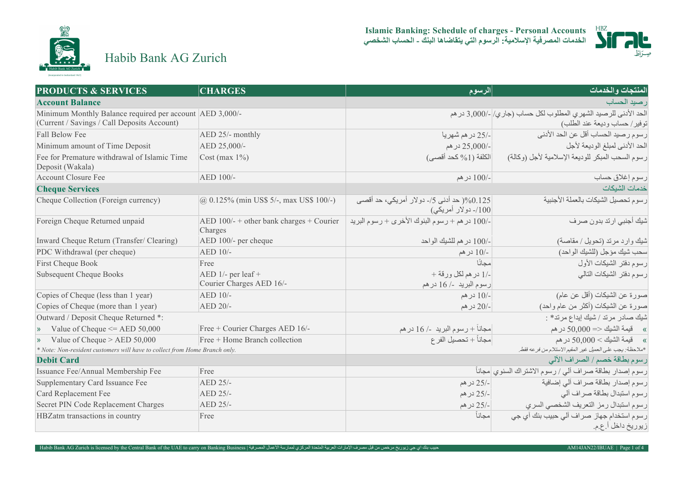

**Islamic Banking: Schedule of charges - Personal Accounts الخدمات المصرفیة الإسلامیة: الرسوم التي یتقاضاھا البنك - الحساب الشخصي**



Habib Bank AG Zurich

| <b>PRODUCTS &amp; SERVICES</b>                                                                          | <b>CHARGES</b>                                        | الرسوم                                                           | المنتجات والخدمات                                                                               |
|---------------------------------------------------------------------------------------------------------|-------------------------------------------------------|------------------------------------------------------------------|-------------------------------------------------------------------------------------------------|
| <b>Account Balance</b>                                                                                  |                                                       |                                                                  | رصيد الحساب                                                                                     |
| Minimum Monthly Balance required per account AED 3,000/-<br>(Current / Savings / Call Deposits Account) |                                                       |                                                                  | الحد الأدنى للرصيد الشهري المطلوب لكل حساب (جاري/ -/3,000 در هم<br>توفير/ حساب وديعة عند الطلب) |
| Fall Below Fee                                                                                          | AED 25/- monthly                                      | -/25 در هم شهريا                                                 | رسوم رصيد الحساب أقل عن الحد الأدنى                                                             |
| Minimum amount of Time Deposit                                                                          | AED 25,000/-                                          | -/25,000 در هم                                                   | الحد الأدنى لمبلغ الوديعة لأجل                                                                  |
| Fee for Premature withdrawal of Islamic Time<br>Deposit (Wakala)                                        | $Cost(max 1\%)$                                       | الكلفة (1% كحد أقصى)                                             | رسوم السحب المبكر للوديعة الإسلامية لأجل (وكالة)                                                |
| <b>Account Closure Fee</b>                                                                              | AED 100/-                                             | -/100 در هم                                                      | رسوم إغلاق حساب                                                                                 |
| <b>Cheque Services</b>                                                                                  |                                                       |                                                                  | خدمات الشبكات                                                                                   |
| Cheque Collection (Foreign currency)                                                                    | $\phi$ 0.125% (min US\$ 5/-, max US\$ 100/-)          | 0.125( حد أدني 5/- دولار أمريكي، حد أقصى<br>/100- دو لار أمريكي) | رسوم تحصيل الشيكات بالعملة الأجنبية                                                             |
| Foreign Cheque Returned unpaid                                                                          | AED $100/- +$ other bank charges + Courier<br>Charges | -/100 در هم + رسوم البنوك الأخرى + رسوم البريد                   | شيك أجنبي ارتد بدون صرف                                                                         |
| Inward Cheque Return (Transfer/ Clearing)                                                               | AED 100/- per cheque                                  | -/100 در هم للشيك الواحد                                         | شيك وارد مرتد (تحويل / مقاصة)                                                                   |
| PDC Withdrawal (per cheque)                                                                             | AED 10/-                                              | -/10 در هم                                                       | سحب شيك مؤجل (للشيك الواحد)                                                                     |
| First Cheque Book                                                                                       | Free                                                  | مجانًا                                                           | رسوم دفتر الشيكات الأول                                                                         |
| <b>Subsequent Cheque Books</b>                                                                          | AED $1/-$ per leaf +<br>Courier Charges AED 16/-      | -/1 در هم لكل ورقة +<br>رسوم البريد -/ 16 در هم                  | رسوم دفتر الشيكات التالي                                                                        |
| Copies of Cheque (less than 1 year)                                                                     | AED 10/-                                              | -/10 در هم                                                       | صورة عن الشيكات (أقل عن عام)                                                                    |
| Copies of Cheque (more than 1 year)                                                                     | AED 20/-                                              | -/20 در هم                                                       | صورة عن الشيكات (أكثر من عام واحد)                                                              |
| Outward / Deposit Cheque Returned *:                                                                    |                                                       |                                                                  | شيك صادر مرتد / شيك إيداع مرتد* :                                                               |
| $\bullet$ Value of Cheque $\leq$ AED 50,000                                                             | Free + Courier Charges AED 16/-                       | مجانـاً + رسوم البريد  -/ 16 در هم                               | » قيمة الشيك <= 50,000 در هم                                                                    |
| $\bullet$ Value of Cheque > AED 50,000                                                                  | Free + Home Branch collection                         | مجاناً + تحصيل الفر ع                                            | » فيمة الشيك > 50,000 در هم                                                                     |
| * Note: Non-resident customers will have to collect from Home Branch only.                              |                                                       |                                                                  | *ملاحظة: يجب على العميل غير المقيم الاستلام من فرعه فقط.                                        |
| <b>Debit Card</b>                                                                                       |                                                       |                                                                  | رسوم بطاقة خصم / الصراف الآلي                                                                   |
| Issuance Fee/Annual Membership Fee                                                                      | Free                                                  |                                                                  | رسوم إصدار بطاقة صراف ألى / رسوم الاشتراك السنوي  مجاناً                                        |
| Supplementary Card Issuance Fee                                                                         | AED 25/-                                              | -/25 در هم                                                       | رسوم إصدار بطاقة صراف ألي إضافية                                                                |
| Card Replacement Fee                                                                                    | AED 25/-                                              | -/25 در هم                                                       | رسوم استبدال بطاقة صراف آلى                                                                     |
| Secret PIN Code Replacement Charges                                                                     | AED 25/-                                              | -/25 در هم                                                       | رسوم استبدال رمز التعريف الشخصى السري                                                           |
| HBZatm transactions in country                                                                          | Free                                                  | مجانأ                                                            | رسوم استخدام جهاز صراف آلي حبيب بنك آي جي<br>زيوريخ داخل أعءم.                                  |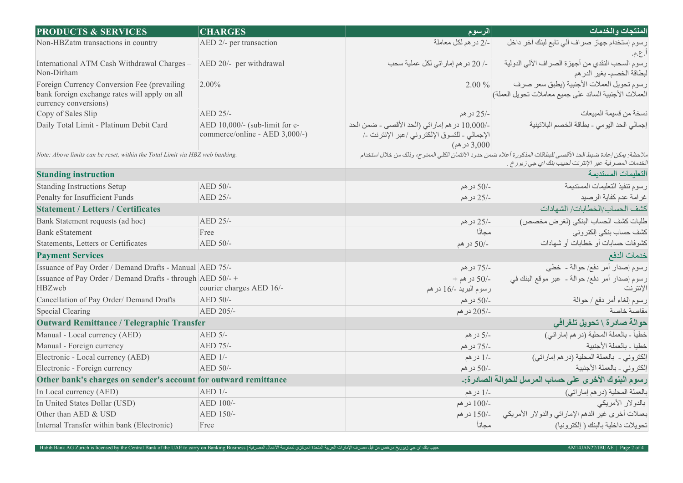| <b>PRODUCTS &amp; SERVICES</b>                                                                                        | <b>CHARGES</b>                                                   | الرسوم                                                                                                          | المنتجات والخدمات                                                                                                                                                           |
|-----------------------------------------------------------------------------------------------------------------------|------------------------------------------------------------------|-----------------------------------------------------------------------------------------------------------------|-----------------------------------------------------------------------------------------------------------------------------------------------------------------------------|
| Non-HBZatm transactions in country                                                                                    | AED 2/- per transaction                                          | -/2 در هم لكل معاملة                                                                                            | رسوم إستخدام جهاز صراف ألى تابع لبنك أخر داخل<br>ا ع.م.                                                                                                                     |
| International ATM Cash Withdrawal Charges -   AED 20/- per withdrawal<br>Non-Dirham                                   |                                                                  | ــ/ 20 در هم إمار اتى لكل عملية سحب                                                                             | رسوم السحب النقدي من أجهزة الصر اف الآلي الدولية<br>لبطاقة الخصم بغير الدرهم                                                                                                |
| Foreign Currency Conversion Fee (prevailing<br>bank foreign exchange rates will apply on all<br>currency conversions) | $2.00\%$                                                         | $2.00\%$                                                                                                        | رسوم تحويل العملات الأجنبية (يطبق سعر صرف<br>العملات الأجنبية السائد على جميع معاملات تحويل العملة)                                                                         |
| Copy of Sales Slip                                                                                                    | AED 25/-                                                         | -/25 در هم                                                                                                      | نسخة من قسيمة المبيعات                                                                                                                                                      |
| Daily Total Limit - Platinum Debit Card                                                                               | AED 10,000/- (sub-limit for e-<br>commerce/online - AED 3,000/-) | -/10,000 در هم إماراتي (الحد الأقصى - ضمن الحد<br>الإجمالي ـ للتسوق الإلكتروني /عبر الإنترنت ـ/<br>3,000 در هم) | إجمالي الحد اليومي - بطاقة الخصم البلاتينية                                                                                                                                 |
| Note: Above limits can be reset, within the Total Limit via HBZ web banking.                                          |                                                                  |                                                                                                                 | ملاحظة: يمكن إعادة ضبط الحد الأقصى للبطاقات المذكورة أعلاه ضمن حدود الائتمان الكلي الممنوح، وذلك من خلال استخدام<br>الخدمات المصر فية عبر الإنترنت لحبيب بنك اي جي زيور خ . |
| <b>Standing instruction</b>                                                                                           |                                                                  |                                                                                                                 | التعليمات المستديمة                                                                                                                                                         |
| <b>Standing Instructions Setup</b>                                                                                    | AED 50/-                                                         | -/50 در هم                                                                                                      | رسوم تنفيذ التعليمات المستديمة                                                                                                                                              |
| Penalty for Insufficient Funds                                                                                        | AED 25/-                                                         | -/25 در هم                                                                                                      | غرامة عدم كفاية الرصيد                                                                                                                                                      |
| <b>Statement / Letters / Certificates</b>                                                                             |                                                                  | كشف الحساب/الخطابات/ الشهادات                                                                                   |                                                                                                                                                                             |
| Bank Statement requests (ad hoc)                                                                                      | AED 25/-                                                         | -/25 در هم                                                                                                      | طلبات كشف الحساب البنكي (لغرض مخصص)                                                                                                                                         |
| <b>Bank</b> eStatement                                                                                                | Free                                                             | مجانًا                                                                                                          | كشف حساب بنكى إلكتروني                                                                                                                                                      |
| Statements, Letters or Certificates                                                                                   | AED 50/-                                                         | -/50 در هم                                                                                                      | كشوفات حسابات أو خطابات أو شهادات                                                                                                                                           |
| <b>Payment Services</b>                                                                                               |                                                                  |                                                                                                                 | خدمات الدفع                                                                                                                                                                 |
| Issuance of Pay Order / Demand Drafts - Manual AED 75/-                                                               |                                                                  | -/75 در هم                                                                                                      | رسوم إصدار أمر دفع/ حوالة - خطى                                                                                                                                             |
| Issuance of Pay Order / Demand Drafts - through AED 50/- +<br>HBZweb                                                  | courier charges AED 16/-                                         | $+$ 1/50 در هم $-$<br>رسوم البريد -/16 در هم                                                                    | رسوم إصدار أمر دفع/ حوالة ـ عبر موقع البنك في<br>الإنترنت                                                                                                                   |
| Cancellation of Pay Order/ Demand Drafts                                                                              | AED 50/-                                                         | -/50 در هم                                                                                                      | رسوم إلغاء أمر دفع / حوالة                                                                                                                                                  |
| <b>Special Clearing</b>                                                                                               | AED 205/-                                                        | -/205 در هم                                                                                                     | مقاصة خاصة                                                                                                                                                                  |
| <b>Outward Remittance / Telegraphic Transfer</b>                                                                      |                                                                  |                                                                                                                 | حوالة صادرة \ تحويل تلغرافي                                                                                                                                                 |
| Manual - Local currency (AED)                                                                                         | AED 5/-                                                          | -/5 در هم                                                                                                       | خطياً ـ بالعملة المحلية (در هم إماراتي)                                                                                                                                     |
| Manual - Foreign currency                                                                                             | AED 75/-                                                         | -/75 در هم                                                                                                      | خطيا ـ بالعملة الأجنبية                                                                                                                                                     |
| Electronic - Local currency (AED)                                                                                     | AED 1/-                                                          | -/1 در هم                                                                                                       | إلكتروني - بالعملة المحلية (در هم إماراتي)                                                                                                                                  |
| Electronic - Foreign currency                                                                                         | AED 50/-                                                         | -/50 در هم                                                                                                      | إلكتروني ـ بالعملة الأجنبية                                                                                                                                                 |
| Other bank's charges on sender's account for outward remittance                                                       |                                                                  |                                                                                                                 | رسوم البنوك الأخرى على حساب المرسل للحوالة الصادرة:-                                                                                                                        |
| In Local currency (AED)                                                                                               | $AED$ 1/-                                                        | -/1 در هم                                                                                                       | بالعملة المحلية (در هم إماراتي)                                                                                                                                             |
| In United States Dollar (USD)                                                                                         | AED 100/-                                                        | -/100 در هم                                                                                                     | بالدولار الأمريكي                                                                                                                                                           |
| Other than AED & USD                                                                                                  | AED 150/-                                                        |                                                                                                                 | بعملات أخرى غير الدهم الإماراتي والدولار الأمريكي __ -/150 درهم                                                                                                             |
| Internal Transfer within bank (Electronic)                                                                            | Free                                                             | مجاناً                                                                                                          | تحويلات داخلية بالبنك ( إلكترونيا)                                                                                                                                          |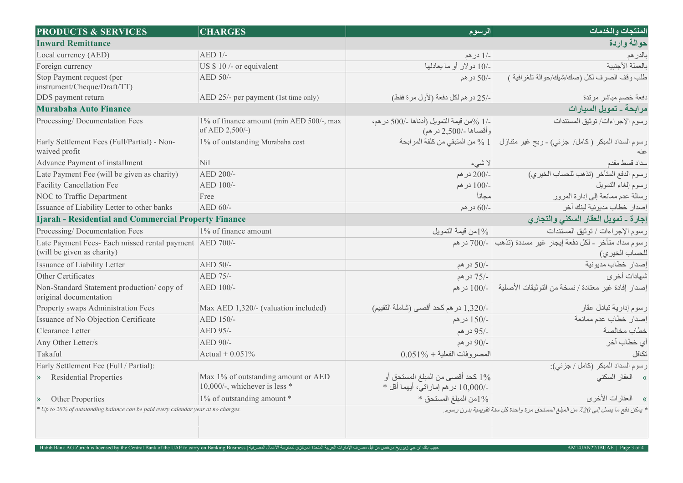| <b>PRODUCTS &amp; SERVICES</b>                                                        | <b>CHARGES</b>                                                         | الرسوم                                                                     | المنتجات والخدمات                                                                |
|---------------------------------------------------------------------------------------|------------------------------------------------------------------------|----------------------------------------------------------------------------|----------------------------------------------------------------------------------|
| <b>Inward Remittance</b>                                                              |                                                                        |                                                                            | حوالة واردة                                                                      |
| Local currency (AED)                                                                  | $AED$ 1/-                                                              | -/1 در هم                                                                  | بالدرهم                                                                          |
| Foreign currency                                                                      | US \$ 10 /- or equivalent                                              | -/10 دولار أو ما يعادلها                                                   | بالعملة الأجنبية                                                                 |
| Stop Payment request (per<br>instrument/Cheque/Draft/TT)                              | $AED$ 50/-                                                             | –/50 در هم                                                                 | طلب وقف الصرف لكل (صك/شيك/حوالة تلغرافية )                                       |
| DDS payment return                                                                    | AED 25/- per payment (1st time only)                                   | -/25 در هم لكل دفعة (لأول مرة فقط)                                         | دفعة خصم مباشر مرتدة                                                             |
| <b>Murabaha Auto Finance</b>                                                          |                                                                        |                                                                            | مرابحة - تمويل السيارات                                                          |
| Processing/Documentation Fees                                                         | 1% of finance amount (min AED 500/-, max<br>of AED 2,500/-)            | -/1 %من قيمة التمويل (أدناها -/500 در هم،<br>وأقصاها -/2,500 در هم)        | رسوم الإجراءات/ توثيق المستندات                                                  |
| Early Settlement Fees (Full/Partial) - Non-<br>waived profit                          | 1% of outstanding Murabaha cost                                        | من المنبقى من كلفة المر ابحة $\%$ 1 $\%$                                   | رسوم السداد المبكر (كامل/ جزئي) - ربح غير متنازل                                 |
| Advance Payment of installment                                                        | <b>Nil</b>                                                             | لا شىء                                                                     | سداد قسط مقدم                                                                    |
| Late Payment Fee (will be given as charity)                                           | AED 200/-                                                              | -/200 در هم                                                                | رسوم الدفع المتأخر (تذهب للحساب الخيرى)                                          |
| <b>Facility Cancellation Fee</b>                                                      | AED 100/-                                                              | -/100 در هم                                                                | رسوم إلغاء التمويل                                                               |
| NOC to Traffic Department                                                             | Free                                                                   | مجانأ                                                                      | رسالة عدم ممانعة إلى إدارة المرور                                                |
| Issuance of Liability Letter to other banks                                           | AED 60/-                                                               | -/60 در هم                                                                 | إصدار خطاب مديونية لبنك آخر                                                      |
| <b>Ijarah - Residential and Commercial Property Finance</b>                           |                                                                        | إجارة - تمويل العقار السكنى والتجارى                                       |                                                                                  |
| Processing/Documentation Fees                                                         | 1% of finance amount                                                   | 1%من قيمة التمويل                                                          | رسوم الإجراءات / توثيق المستندات                                                 |
| Late Payment Fees- Each missed rental payment AED 700/-<br>(will be given as charity) |                                                                        |                                                                            | رسوم سداد متأخر - لكل دفعة إيجار غير مسددة (تذهب   -/700 در هم<br>للحساب الخيرى) |
| Issuance of Liability Letter                                                          | AED 50/-                                                               | -/50 در هم                                                                 | إصدار خطاب مدبونية                                                               |
| Other Certificates                                                                    | AED 75/-                                                               | -/75 در هم                                                                 | شهادات أخر ي                                                                     |
| Non-Standard Statement production/copy of<br>original documentation                   | AED 100/-                                                              | 100/- در هم                                                                | إصدار إفادة غير معتادة / نسخة من التوثيقات الأصلية                               |
| Property swaps Administration Fees                                                    | Max AED 1,320/- (valuation included)                                   | -/320, در هم كحد أقصى (شاملة التقييم)                                      | ر سوم إدارية تبادل عقار                                                          |
| Issuance of No Objection Certificate                                                  | AED 150/-                                                              | -/150 در هم                                                                | إصدار خطاب عدم ممانعة                                                            |
| Clearance Letter                                                                      | AED 95/-                                                               | -/95 در هم                                                                 | خطاب مخالصة                                                                      |
| Any Other Letter/s                                                                    | AED 90/-                                                               | $-90/$ در هم                                                               | أي خطاب آخر                                                                      |
| Takaful                                                                               | Actual + $0.051\%$                                                     | $0.051\% + 0.051\%$ المصر وفات الفعلية                                     | تكافل                                                                            |
| Early Settlement Fee (Full / Partial):                                                |                                                                        |                                                                            | رسوم السداد المبكر (كامل / جزئي):                                                |
| <b>Residential Properties</b><br>$\mathcal{Y}$                                        | Max 1% of outstanding amount or AED<br>10,000/-, whichever is less $*$ | 1% كحد أقصبي من المبلغ المستحق أو<br>-/10,000 در هم إمار اتبي، أيهما أقل * | » العقار السكني                                                                  |
| Other Properties<br>$\mathcal{Y}$                                                     | 1% of outstanding amount *                                             | $*$ من المبلغ المستحق $1\%$                                                | » العقارات الأخرى                                                                |
| * Up to 20% of outstanding balance can be paid every calendar year at no charges.     |                                                                        |                                                                            | * يمكن دفع ما يصل إلى 20٪ من المبلغ المستحق مرة واحدة كل سنة تقويمية بدون رسوم.  |